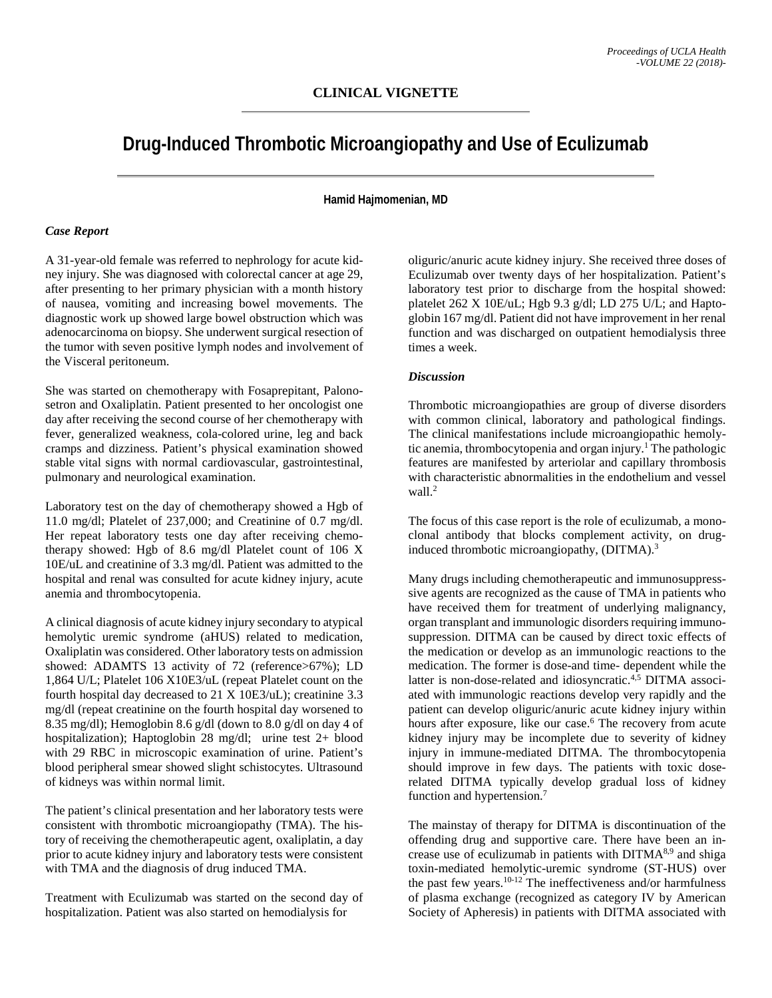# **Drug-Induced Thrombotic Microangiopathy and Use of Eculizumab**

### **Hamid Hajmomenian, MD**

#### *Case Report*

A 31-year-old female was referred to nephrology for acute kidney injury. She was diagnosed with colorectal cancer at age 29, after presenting to her primary physician with a month history of nausea, vomiting and increasing bowel movements. The diagnostic work up showed large bowel obstruction which was adenocarcinoma on biopsy. She underwent surgical resection of the tumor with seven positive lymph nodes and involvement of the Visceral peritoneum.

She was started on chemotherapy with Fosaprepitant, Palonosetron and Oxaliplatin. Patient presented to her oncologist one day after receiving the second course of her chemotherapy with fever, generalized weakness, cola-colored urine, leg and back cramps and dizziness. Patient's physical examination showed stable vital signs with normal cardiovascular, gastrointestinal, pulmonary and neurological examination.

Laboratory test on the day of chemotherapy showed a Hgb of 11.0 mg/dl; Platelet of 237,000; and Creatinine of 0.7 mg/dl. Her repeat laboratory tests one day after receiving chemotherapy showed: Hgb of 8.6 mg/dl Platelet count of 106 X 10E/uL and creatinine of 3.3 mg/dl. Patient was admitted to the hospital and renal was consulted for acute kidney injury, acute anemia and thrombocytopenia.

A clinical diagnosis of acute kidney injury secondary to atypical hemolytic uremic syndrome (aHUS) related to medication, Oxaliplatin was considered. Other laboratory tests on admission showed: ADAMTS 13 activity of 72 (reference>67%); LD 1,864 U/L; Platelet 106 X10E3/uL (repeat Platelet count on the fourth hospital day decreased to 21 X 10E3/uL); creatinine 3.3 mg/dl (repeat creatinine on the fourth hospital day worsened to 8.35 mg/dl); Hemoglobin 8.6 g/dl (down to 8.0 g/dl on day 4 of hospitalization); Haptoglobin 28 mg/dl; urine test 2+ blood with 29 RBC in microscopic examination of urine. Patient's blood peripheral smear showed slight schistocytes. Ultrasound of kidneys was within normal limit.

The patient's clinical presentation and her laboratory tests were consistent with thrombotic microangiopathy (TMA). The history of receiving the chemotherapeutic agent, oxaliplatin, a day prior to acute kidney injury and laboratory tests were consistent with TMA and the diagnosis of drug induced TMA.

Treatment with Eculizumab was started on the second day of hospitalization. Patient was also started on hemodialysis for

oliguric/anuric acute kidney injury. She received three doses of Eculizumab over twenty days of her hospitalization. Patient's laboratory test prior to discharge from the hospital showed: platelet 262 X 10E/uL; Hgb 9.3 g/dl; LD 275 U/L; and Haptoglobin 167 mg/dl. Patient did not have improvement in her renal function and was discharged on outpatient hemodialysis three times a week.

#### *Discussion*

Thrombotic microangiopathies are group of diverse disorders with common clinical, laboratory and pathological findings. The clinical manifestations include microangiopathic hemolytic anemia, thrombocytopenia and organ injury. <sup>1</sup> The pathologic features are manifested by arteriolar and capillary thrombosis with characteristic abnormalities in the endothelium and vessel wall. 2

The focus of this case report is the role of eculizumab, a monoclonal antibody that blocks complement activity, on druginduced thrombotic microangiopathy, (DITMA).<sup>3</sup>

Many drugs including chemotherapeutic and immunosuppresssive agents are recognized as the cause of TMA in patients who have received them for treatment of underlying malignancy, organ transplant and immunologic disorders requiring immunosuppression. DITMA can be caused by direct toxic effects of the medication or develop as an immunologic reactions to the medication. The former is dose-and time- dependent while the latter is non-dose-related and idiosyncratic.<sup>4,5</sup> DITMA associated with immunologic reactions develop very rapidly and the patient can develop oliguric/anuric acute kidney injury within hours after exposure, like our case. <sup>6</sup> The recovery from acute kidney injury may be incomplete due to severity of kidney injury in immune-mediated DITMA. The thrombocytopenia should improve in few days. The patients with toxic doserelated DITMA typically develop gradual loss of kidney function and hypertension. 7

The mainstay of therapy for DITMA is discontinuation of the offending drug and supportive care. There have been an increase use of eculizumab in patients with DITMA<sup>8,9</sup> and shiga toxin-mediated hemolytic-uremic syndrome (ST-HUS) over the past few years. 10-12 The ineffectiveness and/or harmfulness of plasma exchange (recognized as category IV by American Society of Apheresis) in patients with DITMA associated with